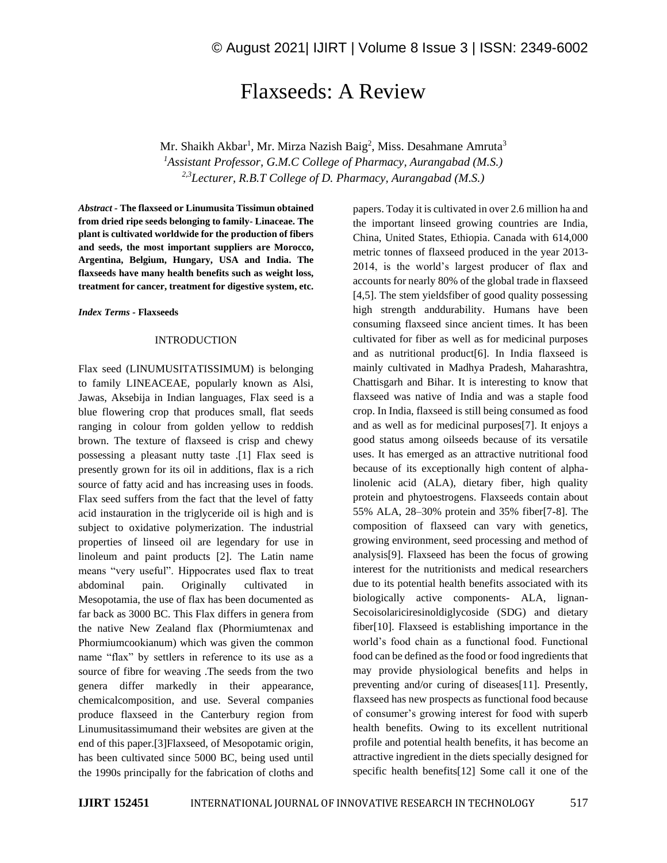# Flaxseeds: A Review

Mr. Shaikh Akbar<sup>1</sup>, Mr. Mirza Nazish Baig<sup>2</sup>, Miss. Desahmane Amruta<sup>3</sup> *<sup>1</sup>Assistant Professor, G.M.C College of Pharmacy, Aurangabad (M.S.) 2,3Lecturer, R.B.T College of D. Pharmacy, Aurangabad (M.S.)*

*Abstract -* **The flaxseed or Linumusita Tissimun obtained from dried ripe seeds belonging to family- Linaceae. The plant is cultivated worldwide for the production of fibers and seeds, the most important suppliers are Morocco, Argentina, Belgium, Hungary, USA and India. The flaxseeds have many health benefits such as weight loss, treatment for cancer, treatment for digestive system, etc.**

*Index Terms -* **Flaxseeds**

#### INTRODUCTION

Flax seed (LINUMUSITATISSIMUM) is belonging to family LINEACEAE, popularly known as Alsi, Jawas, Aksebija in Indian languages, Flax seed is a blue flowering crop that produces small, flat seeds ranging in colour from golden yellow to reddish brown. The texture of flaxseed is crisp and chewy possessing a pleasant nutty taste .[1] Flax seed is presently grown for its oil in additions, flax is a rich source of fatty acid and has increasing uses in foods. Flax seed suffers from the fact that the level of fatty acid instauration in the triglyceride oil is high and is subject to oxidative polymerization. The industrial properties of linseed oil are legendary for use in linoleum and paint products [2]. The Latin name means "very useful". Hippocrates used flax to treat abdominal pain. Originally cultivated in Mesopotamia, the use of flax has been documented as far back as 3000 BC. This Flax differs in genera from the native New Zealand flax (Phormiumtenax and Phormiumcookianum) which was given the common name "flax" by settlers in reference to its use as a source of fibre for weaving .The seeds from the two genera differ markedly in their appearance, chemicalcomposition, and use. Several companies produce flaxseed in the Canterbury region from Linumusitassimumand their websites are given at the end of this paper.[3]Flaxseed, of Mesopotamic origin, has been cultivated since 5000 BC, being used until the 1990s principally for the fabrication of cloths and

papers. Today it is cultivated in over 2.6 million ha and the important linseed growing countries are India, China, United States, Ethiopia. Canada with 614,000 metric tonnes of flaxseed produced in the year 2013- 2014, is the world's largest producer of flax and accounts for nearly 80% of the global trade in flaxseed [4,5]. The stem yieldsfiber of good quality possessing high strength anddurability. Humans have been consuming flaxseed since ancient times. It has been cultivated for fiber as well as for medicinal purposes and as nutritional product[6]. In India flaxseed is mainly cultivated in Madhya Pradesh, Maharashtra, Chattisgarh and Bihar. It is interesting to know that flaxseed was native of India and was a staple food crop. In India, flaxseed is still being consumed as food and as well as for medicinal purposes[7]. It enjoys a good status among oilseeds because of its versatile uses. It has emerged as an attractive nutritional food because of its exceptionally high content of alphalinolenic acid (ALA), dietary fiber, high quality protein and phytoestrogens. Flaxseeds contain about 55% ALA, 28–30% protein and 35% fiber[7-8]. The composition of flaxseed can vary with genetics, growing environment, seed processing and method of analysis[9]. Flaxseed has been the focus of growing interest for the nutritionists and medical researchers due to its potential health benefits associated with its biologically active components- ALA, lignan-Secoisolariciresinoldiglycoside (SDG) and dietary fiber[10]. Flaxseed is establishing importance in the world's food chain as a functional food. Functional food can be defined as the food or food ingredients that may provide physiological benefits and helps in preventing and/or curing of diseases[11]. Presently, flaxseed has new prospects as functional food because of consumer's growing interest for food with superb health benefits. Owing to its excellent nutritional profile and potential health benefits, it has become an attractive ingredient in the diets specially designed for specific health benefits[12] Some call it one of the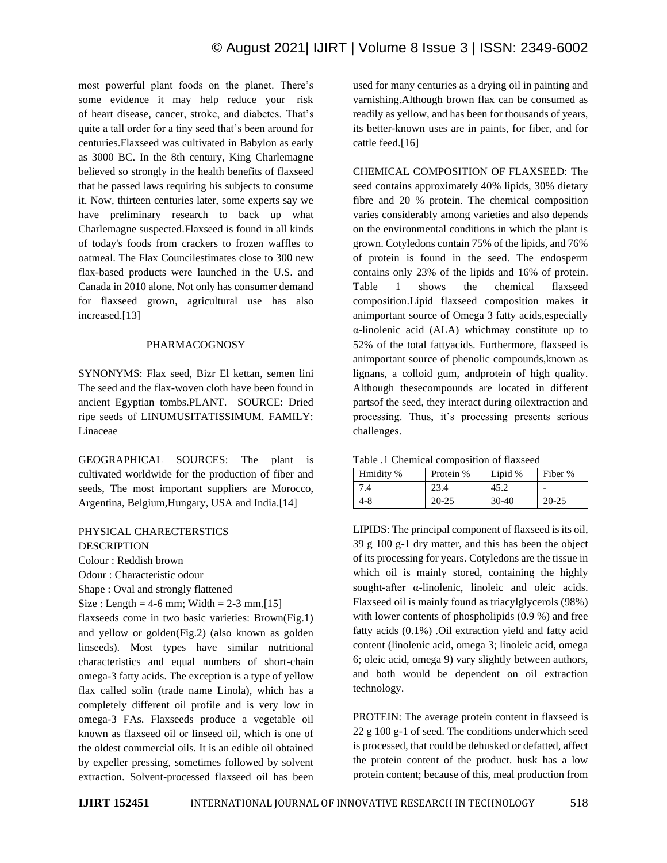most powerful plant foods on the planet. There's some evidence it may help reduce your risk of heart disease, cancer, stroke, and diabetes. That's quite a tall order for a tiny seed that's been around for centuries.Flaxseed was cultivated in Babylon as early as 3000 BC. In the 8th century, King Charlemagne believed so strongly in the health benefits of flaxseed that he passed laws requiring his subjects to consume it. Now, thirteen centuries later, some experts say we have preliminary research to back up what Charlemagne suspected.Flaxseed is found in all kinds of today's foods from crackers to frozen waffles to oatmeal. The Flax Councilestimates close to 300 new flax-based products were launched in the U.S. and Canada in 2010 alone. Not only has consumer demand for flaxseed grown, agricultural use has also increased.[13]

## PHARMACOGNOSY

SYNONYMS: Flax seed, Bizr El kettan, semen lini The seed and the flax-woven cloth have been found in ancient Egyptian tombs.PLANT. SOURCE: Dried ripe seeds of LINUMUSITATISSIMUM. FAMILY: Linaceae

GEOGRAPHICAL SOURCES: The plant is cultivated worldwide for the production of fiber and seeds, The most important suppliers are Morocco, Argentina, Belgium,Hungary, USA and India.[14]

PHYSICAL CHARECTERSTICS DESCRIPTION Colour : Reddish brown Odour : Characteristic odour Shape : Oval and strongly flattened Size : Length =  $4-6$  mm; Width =  $2-3$  mm.[15] flaxseeds come in two basic varieties: Brown(Fig.1) and yellow or golden(Fig.2) (also known as golden linseeds). Most types have similar nutritional characteristics and equal numbers of short-chain omega-3 fatty acids. The exception is a type of yellow flax called solin (trade name Linola), which has a completely different oil profile and is very low in omega-3 FAs. Flaxseeds produce a vegetable oil known as flaxseed oil or linseed oil, which is one of the oldest commercial oils. It is an edible oil obtained by expeller pressing, sometimes followed by solvent extraction. Solvent-processed flaxseed oil has been used for many centuries as a drying oil in painting and varnishing.Although brown flax can be consumed as readily as yellow, and has been for thousands of years, its better-known uses are in paints, for fiber, and for cattle feed.[16]

CHEMICAL COMPOSITION OF FLAXSEED: The seed contains approximately 40% lipids, 30% dietary fibre and 20 % protein. The chemical composition varies considerably among varieties and also depends on the environmental conditions in which the plant is grown. Cotyledons contain 75% of the lipids, and 76% of protein is found in the seed. The endosperm contains only 23% of the lipids and 16% of protein. Table 1 shows the chemical flaxseed composition.Lipid flaxseed composition makes it animportant source of Omega 3 fatty acids,especially α-linolenic acid (ALA) whichmay constitute up to 52% of the total fattyacids. Furthermore, flaxseed is animportant source of phenolic compounds,known as lignans, a colloid gum, andprotein of high quality. Although thesecompounds are located in different partsof the seed, they interact during oilextraction and processing. Thus, it's processing presents serious challenges.

| Table .1 Chemical composition of flaxseed |  |  |
|-------------------------------------------|--|--|
|-------------------------------------------|--|--|

| Hmidity % | Protein % | Lipid % | Fiber %   |
|-----------|-----------|---------|-----------|
| 7.4       | 23.4      | 45.2    |           |
| 4-8       | $20 - 25$ | $30-40$ | $20 - 25$ |

LIPIDS: The principal component of flaxseed is its oil, 39 g 100 g-1 dry matter, and this has been the object of its processing for years. Cotyledons are the tissue in which oil is mainly stored, containing the highly sought-after α-linolenic, linoleic and oleic acids. Flaxseed oil is mainly found as triacylglycerols (98%) with lower contents of phospholipids (0.9 %) and free fatty acids (0.1%) .Oil extraction yield and fatty acid content (linolenic acid, omega 3; linoleic acid, omega 6; oleic acid, omega 9) vary slightly between authors, and both would be dependent on oil extraction technology.

PROTEIN: The average protein content in flaxseed is 22 g 100 g-1 of seed. The conditions underwhich seed is processed, that could be dehusked or defatted, affect the protein content of the product. husk has a low protein content; because of this, meal production from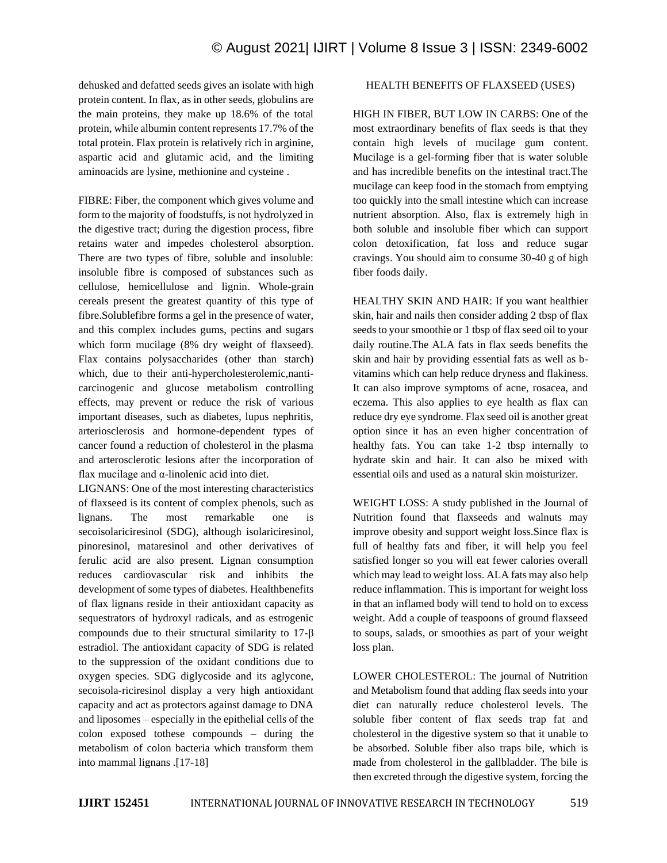dehusked and defatted seeds gives an isolate with high protein content. In flax, as in other seeds, globulins are the main proteins, they make up 18.6% of the total protein, while albumin content represents 17.7% of the total protein. Flax protein is relatively rich in arginine, aspartic acid and glutamic acid, and the limiting aminoacids are lysine, methionine and cysteine .

FIBRE: Fiber, the component which gives volume and form to the majority of foodstuffs, is not hydrolyzed in the digestive tract; during the digestion process, fibre retains water and impedes cholesterol absorption. There are two types of fibre, soluble and insoluble: insoluble fibre is composed of substances such as cellulose, hemicellulose and lignin. Whole-grain cereals present the greatest quantity of this type of fibre.Solublefibre forms a gel in the presence of water, and this complex includes gums, pectins and sugars which form mucilage (8% dry weight of flaxseed). Flax contains polysaccharides (other than starch) which, due to their anti-hypercholesterolemic,nanticarcinogenic and glucose metabolism controlling effects, may prevent or reduce the risk of various important diseases, such as diabetes, lupus nephritis, arteriosclerosis and hormone-dependent types of cancer found a reduction of cholesterol in the plasma and arterosclerotic lesions after the incorporation of flax mucilage and α-linolenic acid into diet.

LIGNANS: One of the most interesting characteristics of flaxseed is its content of complex phenols, such as lignans. The most remarkable one is secoisolariciresinol (SDG), although isolariciresinol, pinoresinol, mataresinol and other derivatives of ferulic acid are also present. Lignan consumption reduces cardiovascular risk and inhibits the development of some types of diabetes. Healthbenefits of flax lignans reside in their antioxidant capacity as sequestrators of hydroxyl radicals, and as estrogenic compounds due to their structural similarity to 17-β estradiol. The antioxidant capacity of SDG is related to the suppression of the oxidant conditions due to oxygen species. SDG diglycoside and its aglycone, secoisola-riciresinol display a very high antioxidant capacity and act as protectors against damage to DNA and liposomes – especially in the epithelial cells of the colon exposed tothese compounds – during the metabolism of colon bacteria which transform them into mammal lignans .[17-18]

## HEALTH BENEFITS OF FLAXSEED (USES)

HIGH IN FIBER, BUT LOW IN CARBS: One of the most extraordinary benefits of flax seeds is that they contain high levels of mucilage gum content. Mucilage is a gel-forming fiber that is water soluble and has incredible benefits on the intestinal tract.The mucilage can keep food in the stomach from emptying too quickly into the small intestine which can increase nutrient absorption. Also, flax is extremely high in both soluble and insoluble fiber which can support colon detoxification, fat loss and reduce sugar cravings. You should aim to consume 30-40 g of high fiber foods daily.

HEALTHY SKIN AND HAIR: If you want healthier skin, hair and nails then consider adding 2 tbsp of flax seeds to your smoothie or 1 tbsp of flax seed oil to your daily routine.The ALA fats in flax seeds benefits the skin and hair by providing essential fats as well as bvitamins which can help reduce dryness and flakiness. It can also improve symptoms of acne, rosacea, and eczema. This also applies to eye health as flax can reduce dry eye syndrome. Flax seed oil is another great option since it has an even higher concentration of healthy fats. You can take 1-2 tbsp internally to hydrate skin and hair. It can also be mixed with essential oils and used as a natural skin moisturizer.

WEIGHT LOSS: A study published in the Journal of Nutrition found that flaxseeds and walnuts may improve obesity and support weight loss.Since flax is full of healthy fats and fiber, it will help you feel satisfied longer so you will eat fewer calories overall which may lead to weight loss. ALA fats may also help reduce inflammation. This is important for weight loss in that an inflamed body will tend to hold on to excess weight. Add a couple of teaspoons of ground flaxseed to soups, salads, or smoothies as part of your weight loss plan.

LOWER CHOLESTEROL: The journal of Nutrition and Metabolism found that adding flax seeds into your diet can naturally reduce cholesterol levels. The soluble fiber content of flax seeds trap fat and cholesterol in the digestive system so that it unable to be absorbed. Soluble fiber also traps bile, which is made from cholesterol in the gallbladder. The bile is then excreted through the digestive system, forcing the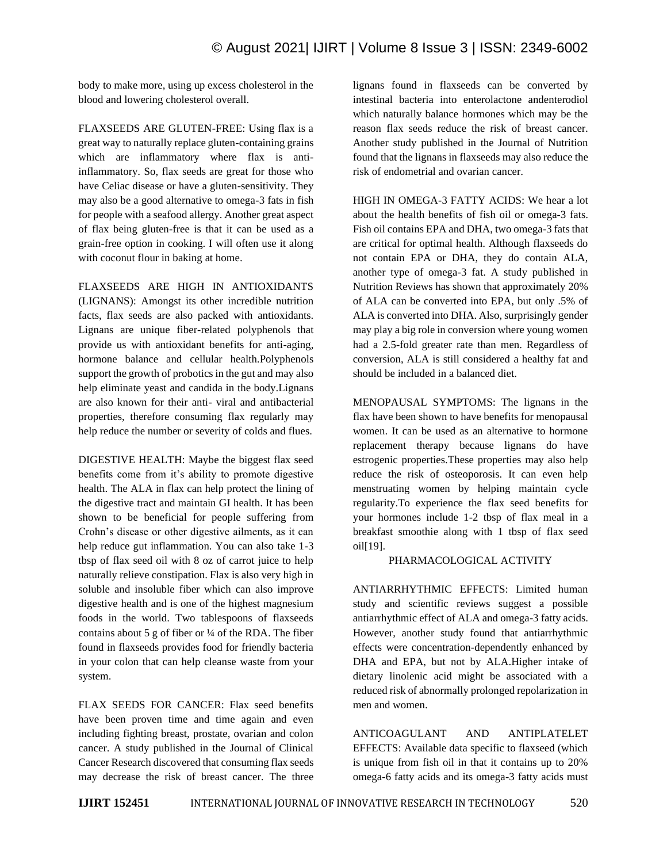body to make more, using up excess cholesterol in the blood and lowering cholesterol overall.

FLAXSEEDS ARE GLUTEN-FREE: Using flax is a great way to naturally replace gluten-containing grains which are inflammatory where flax is antiinflammatory. So, flax seeds are great for those who have Celiac disease or have a gluten-sensitivity. They may also be a good alternative to omega-3 fats in fish for people with a seafood allergy. Another great aspect of flax being gluten-free is that it can be used as a grain-free option in cooking. I will often use it along with coconut flour in baking at home.

FLAXSEEDS ARE HIGH IN ANTIOXIDANTS (LIGNANS): Amongst its other incredible nutrition facts, flax seeds are also packed with antioxidants. Lignans are unique fiber-related polyphenols that provide us with antioxidant benefits for anti-aging, hormone balance and cellular health.Polyphenols support the growth of probotics in the gut and may also help eliminate yeast and candida in the body.Lignans are also known for their anti- viral and antibacterial properties, therefore consuming flax regularly may help reduce the number or severity of colds and flues.

DIGESTIVE HEALTH: Maybe the biggest flax seed benefits come from it's ability to promote digestive health. The ALA in flax can help protect the lining of the digestive tract and maintain GI health. It has been shown to be beneficial for people suffering from Crohn's disease or other digestive ailments, as it can help reduce gut inflammation. You can also take 1-3 tbsp of flax seed oil with 8 oz of carrot juice to help naturally relieve constipation. Flax is also very high in soluble and insoluble fiber which can also improve digestive health and is one of the highest magnesium foods in the world. Two tablespoons of flaxseeds contains about 5 g of fiber or  $\frac{1}{4}$  of the RDA. The fiber found in flaxseeds provides food for friendly bacteria in your colon that can help cleanse waste from your system.

FLAX SEEDS FOR CANCER: Flax seed benefits have been proven time and time again and even including fighting breast, prostate, ovarian and colon cancer. A study published in the Journal of Clinical Cancer Research discovered that consuming flax seeds may decrease the risk of breast cancer. The three lignans found in flaxseeds can be converted by intestinal bacteria into enterolactone andenterodiol which naturally balance hormones which may be the reason flax seeds reduce the risk of breast cancer. Another study published in the Journal of Nutrition found that the lignans in flaxseeds may also reduce the risk of endometrial and ovarian cancer.

HIGH IN OMEGA-3 FATTY ACIDS: We hear a lot about the health benefits of fish oil or omega-3 fats. Fish oil contains EPA and DHA, two omega-3 fats that are critical for optimal health. Although flaxseeds do not contain EPA or DHA, they do contain ALA, another type of omega-3 fat. A study published in Nutrition Reviews has shown that approximately 20% of ALA can be converted into EPA, but only .5% of ALA is converted into DHA. Also, surprisingly gender may play a big role in conversion where young women had a 2.5-fold greater rate than men. Regardless of conversion, ALA is still considered a healthy fat and should be included in a balanced diet.

MENOPAUSAL SYMPTOMS: The lignans in the flax have been shown to have benefits for menopausal women. It can be used as an alternative to hormone replacement therapy because lignans do have estrogenic properties.These properties may also help reduce the risk of osteoporosis. It can even help menstruating women by helping maintain cycle regularity.To experience the flax seed benefits for your hormones include 1-2 tbsp of flax meal in a breakfast smoothie along with 1 tbsp of flax seed oil[19].

## PHARMACOLOGICAL ACTIVITY

ANTIARRHYTHMIC EFFECTS: Limited human study and scientific reviews suggest a possible antiarrhythmic effect of ALA and omega-3 fatty acids. However, another study found that antiarrhythmic effects were concentration-dependently enhanced by DHA and EPA, but not by ALA.Higher intake of dietary linolenic acid might be associated with a reduced risk of abnormally prolonged repolarization in men and women.

ANTICOAGULANT AND ANTIPLATELET EFFECTS: Available data specific to flaxseed (which is unique from fish oil in that it contains up to 20% omega-6 fatty acids and its omega-3 fatty acids must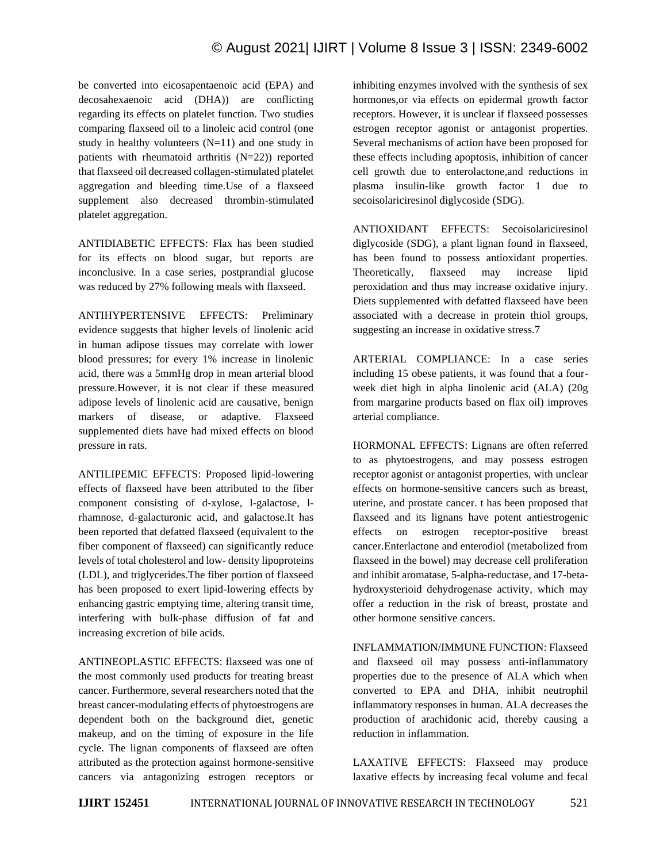be converted into eicosapentaenoic acid (EPA) and decosahexaenoic acid (DHA)) are conflicting regarding its effects on platelet function. Two studies comparing flaxseed oil to a linoleic acid control (one study in healthy volunteers (N=11) and one study in patients with rheumatoid arthritis (N=22)) reported that flaxseed oil decreased collagen-stimulated platelet aggregation and bleeding time.Use of a flaxseed supplement also decreased thrombin-stimulated platelet aggregation.

ANTIDIABETIC EFFECTS: Flax has been studied for its effects on blood sugar, but reports are inconclusive. In a case series, postprandial glucose was reduced by 27% following meals with flaxseed.

ANTIHYPERTENSIVE EFFECTS: Preliminary evidence suggests that higher levels of linolenic acid in human adipose tissues may correlate with lower blood pressures; for every 1% increase in linolenic acid, there was a 5mmHg drop in mean arterial blood pressure.However, it is not clear if these measured adipose levels of linolenic acid are causative, benign markers of disease, or adaptive. Flaxseed supplemented diets have had mixed effects on blood pressure in rats.

ANTILIPEMIC EFFECTS: Proposed lipid-lowering effects of flaxseed have been attributed to the fiber component consisting of d-xylose, l-galactose, lrhamnose, d-galacturonic acid, and galactose.It has been reported that defatted flaxseed (equivalent to the fiber component of flaxseed) can significantly reduce levels of total cholesterol and low- density lipoproteins (LDL), and triglycerides.The fiber portion of flaxseed has been proposed to exert lipid-lowering effects by enhancing gastric emptying time, altering transit time, interfering with bulk-phase diffusion of fat and increasing excretion of bile acids.

ANTINEOPLASTIC EFFECTS: flaxseed was one of the most commonly used products for treating breast cancer. Furthermore, several researchers noted that the breast cancer-modulating effects of phytoestrogens are dependent both on the background diet, genetic makeup, and on the timing of exposure in the life cycle. The lignan components of flaxseed are often attributed as the protection against hormone-sensitive cancers via antagonizing estrogen receptors or inhibiting enzymes involved with the synthesis of sex hormones,or via effects on epidermal growth factor receptors. However, it is unclear if flaxseed possesses estrogen receptor agonist or antagonist properties. Several mechanisms of action have been proposed for these effects including apoptosis, inhibition of cancer cell growth due to enterolactone,and reductions in plasma insulin-like growth factor 1 due to secoisolariciresinol diglycoside (SDG).

ANTIOXIDANT EFFECTS: Secoisolariciresinol diglycoside (SDG), a plant lignan found in flaxseed, has been found to possess antioxidant properties. Theoretically, flaxseed may increase lipid peroxidation and thus may increase oxidative injury. Diets supplemented with defatted flaxseed have been associated with a decrease in protein thiol groups, suggesting an increase in oxidative stress.7

ARTERIAL COMPLIANCE: In a case series including 15 obese patients, it was found that a fourweek diet high in alpha linolenic acid (ALA) (20g from margarine products based on flax oil) improves arterial compliance.

HORMONAL EFFECTS: Lignans are often referred to as phytoestrogens, and may possess estrogen receptor agonist or antagonist properties, with unclear effects on hormone-sensitive cancers such as breast, uterine, and prostate cancer. t has been proposed that flaxseed and its lignans have potent antiestrogenic effects on estrogen receptor-positive breast cancer.Enterlactone and enterodiol (metabolized from flaxseed in the bowel) may decrease cell proliferation and inhibit aromatase, 5-alpha-reductase, and 17-betahydroxysterioid dehydrogenase activity, which may offer a reduction in the risk of breast, prostate and other hormone sensitive cancers.

INFLAMMATION/IMMUNE FUNCTION: Flaxseed and flaxseed oil may possess anti-inflammatory properties due to the presence of ALA which when converted to EPA and DHA, inhibit neutrophil inflammatory responses in human. ALA decreases the production of arachidonic acid, thereby causing a reduction in inflammation.

LAXATIVE EFFECTS: Flaxseed may produce laxative effects by increasing fecal volume and fecal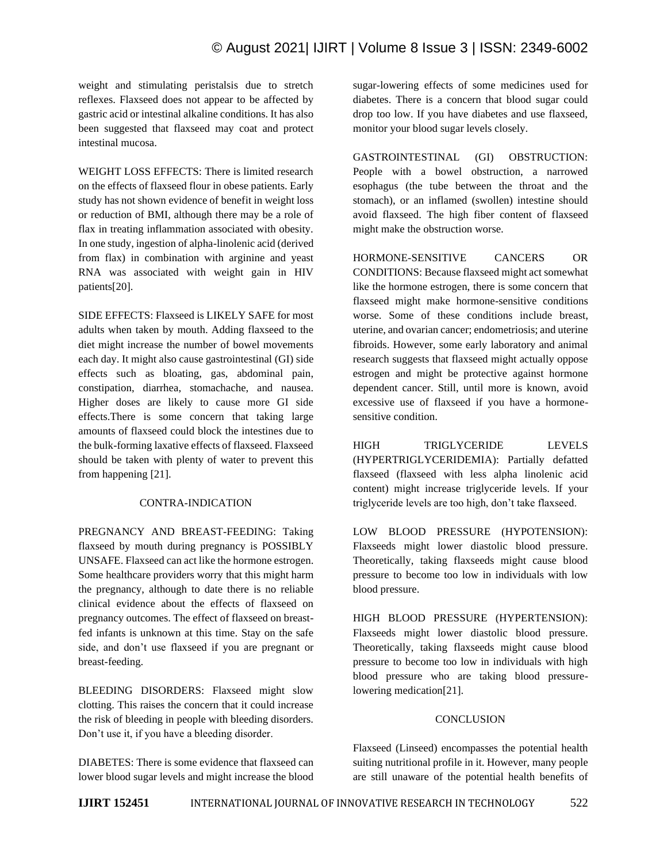## © August 2021| IJIRT | Volume 8 Issue 3 | ISSN: 2349-6002

weight and stimulating peristalsis due to stretch reflexes. Flaxseed does not appear to be affected by gastric acid or intestinal alkaline conditions. It has also been suggested that flaxseed may coat and protect intestinal mucosa.

WEIGHT LOSS EFFECTS: There is limited research on the effects of flaxseed flour in obese patients. Early study has not shown evidence of benefit in weight loss or reduction of BMI, although there may be a role of flax in treating inflammation associated with obesity. In one study, ingestion of alpha-linolenic acid (derived from flax) in combination with arginine and yeast RNA was associated with weight gain in HIV patients[20].

SIDE EFFECTS: Flaxseed is LIKELY SAFE for most adults when taken by mouth. Adding flaxseed to the diet might increase the number of bowel movements each day. It might also cause gastrointestinal (GI) side effects such as bloating, gas, abdominal pain, constipation, diarrhea, stomachache, and nausea. Higher doses are likely to cause more GI side effects.There is some concern that taking large amounts of flaxseed could block the intestines due to the bulk-forming laxative effects of flaxseed. Flaxseed should be taken with plenty of water to prevent this from happening [21].

### CONTRA-INDICATION

PREGNANCY AND BREAST-FEEDING: Taking flaxseed by mouth during pregnancy is POSSIBLY UNSAFE. Flaxseed can act like the hormone estrogen. Some healthcare providers worry that this might harm the pregnancy, although to date there is no reliable clinical evidence about the effects of flaxseed on pregnancy outcomes. The effect of flaxseed on breastfed infants is unknown at this time. Stay on the safe side, and don't use flaxseed if you are pregnant or breast-feeding.

BLEEDING DISORDERS: Flaxseed might slow clotting. This raises the concern that it could increase the risk of bleeding in people with bleeding disorders. Don't use it, if you have a bleeding disorder.

DIABETES: There is some evidence that flaxseed can lower blood sugar levels and might increase the blood sugar-lowering effects of some medicines used for diabetes. There is a concern that blood sugar could drop too low. If you have diabetes and use flaxseed, monitor your blood sugar levels closely.

GASTROINTESTINAL (GI) OBSTRUCTION: People with a bowel obstruction, a narrowed esophagus (the tube between the throat and the stomach), or an inflamed (swollen) intestine should avoid flaxseed. The high fiber content of flaxseed might make the obstruction worse.

HORMONE-SENSITIVE CANCERS OR CONDITIONS: Because flaxseed might act somewhat like the hormone estrogen, there is some concern that flaxseed might make hormone-sensitive conditions worse. Some of these conditions include breast, uterine, and ovarian cancer; endometriosis; and uterine fibroids. However, some early laboratory and animal research suggests that flaxseed might actually oppose estrogen and might be protective against hormone dependent cancer. Still, until more is known, avoid excessive use of flaxseed if you have a hormonesensitive condition.

HIGH TRIGLYCERIDE LEVELS (HYPERTRIGLYCERIDEMIA): Partially defatted flaxseed (flaxseed with less alpha linolenic acid content) might increase triglyceride levels. If your triglyceride levels are too high, don't take flaxseed.

LOW BLOOD PRESSURE (HYPOTENSION): Flaxseeds might lower diastolic blood pressure. Theoretically, taking flaxseeds might cause blood pressure to become too low in individuals with low blood pressure.

HIGH BLOOD PRESSURE (HYPERTENSION): Flaxseeds might lower diastolic blood pressure. Theoretically, taking flaxseeds might cause blood pressure to become too low in individuals with high blood pressure who are taking blood pressurelowering medication[21].

#### **CONCLUSION**

Flaxseed (Linseed) encompasses the potential health suiting nutritional profile in it. However, many people are still unaware of the potential health benefits of